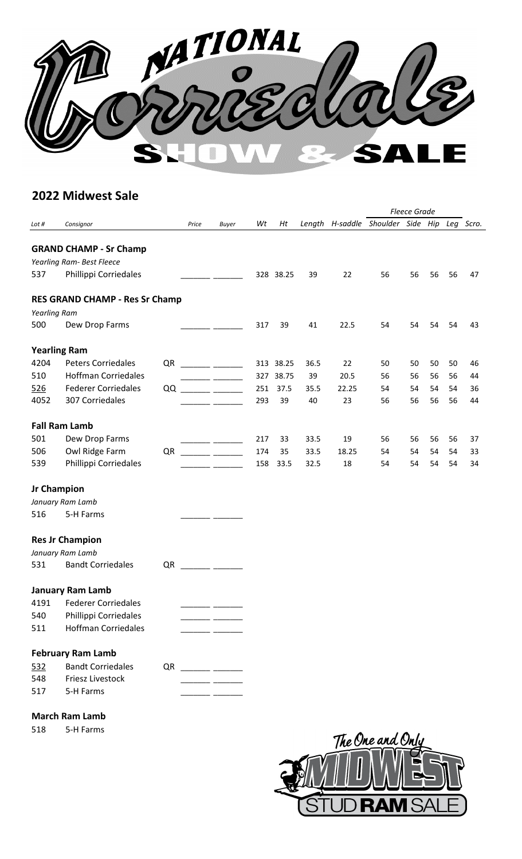

## **2022 Midwest Sale**

|                   |                                       |    |       |                        |     |           |      |       |                                             | <b>Fleece Grade</b> |    |    |    |
|-------------------|---------------------------------------|----|-------|------------------------|-----|-----------|------|-------|---------------------------------------------|---------------------|----|----|----|
| Lot #             | Consignor                             |    | Price | <b>Buyer</b>           | Wt  | Ht        |      |       | Length H-saddle Shoulder Side Hip Leg Scro. |                     |    |    |    |
|                   |                                       |    |       |                        |     |           |      |       |                                             |                     |    |    |    |
|                   | <b>GRAND CHAMP - Sr Champ</b>         |    |       |                        |     |           |      |       |                                             |                     |    |    |    |
|                   | Yearling Ram- Best Fleece             |    |       |                        |     |           |      |       |                                             |                     |    |    |    |
| 537               | Phillippi Corriedales                 |    |       |                        |     | 328 38.25 | 39   | 22    | 56                                          | 56                  | 56 | 56 | 47 |
|                   | <b>RES GRAND CHAMP - Res Sr Champ</b> |    |       |                        |     |           |      |       |                                             |                     |    |    |    |
| Yearling Ram      |                                       |    |       |                        |     |           |      |       |                                             |                     |    |    |    |
| 500               | Dew Drop Farms                        |    |       |                        | 317 | 39        | 41   | 22.5  | 54                                          | 54                  | 54 | 54 | 43 |
|                   | <b>Yearling Ram</b>                   |    |       |                        |     |           |      |       |                                             |                     |    |    |    |
| 4204              | <b>Peters Corriedales</b>             | QR |       |                        |     | 313 38.25 | 36.5 | 22    | 50                                          | 50                  | 50 | 50 | 46 |
| 510               | <b>Hoffman Corriedales</b>            |    |       |                        |     | 327 38.75 | 39   | 20.5  | 56                                          | 56                  | 56 | 56 | 44 |
| 526               | <b>Federer Corriedales</b>            | QQ |       |                        | 251 | 37.5      | 35.5 | 22.25 | 54                                          | 54                  | 54 | 54 | 36 |
| 4052              | 307 Corriedales                       |    |       |                        | 293 | 39        | 40   | 23    | 56                                          | 56                  | 56 | 56 | 44 |
|                   | <b>Fall Ram Lamb</b>                  |    |       |                        |     |           |      |       |                                             |                     |    |    |    |
| 501               | Dew Drop Farms                        |    |       |                        | 217 | 33        | 33.5 | 19    | 56                                          | 56                  | 56 | 56 | 37 |
| 506               | Owl Ridge Farm                        | QR |       |                        | 174 | 35        | 33.5 | 18.25 | 54                                          | 54                  | 54 | 54 | 33 |
| 539               | Phillippi Corriedales                 |    |       |                        | 158 | 33.5      | 32.5 | 18    | 54                                          | 54                  | 54 | 54 | 34 |
|                   | <b>Jr Champion</b>                    |    |       |                        |     |           |      |       |                                             |                     |    |    |    |
|                   | January Ram Lamb                      |    |       |                        |     |           |      |       |                                             |                     |    |    |    |
| 516               | 5-H Farms                             |    |       |                        |     |           |      |       |                                             |                     |    |    |    |
|                   | <b>Res Jr Champion</b>                |    |       |                        |     |           |      |       |                                             |                     |    |    |    |
|                   | January Ram Lamb                      |    |       |                        |     |           |      |       |                                             |                     |    |    |    |
| 531               | <b>Bandt Corriedales</b>              | QR |       |                        |     |           |      |       |                                             |                     |    |    |    |
|                   | <b>January Ram Lamb</b>               |    |       |                        |     |           |      |       |                                             |                     |    |    |    |
| 4191              | <b>Federer Corriedales</b>            |    |       |                        |     |           |      |       |                                             |                     |    |    |    |
| 540               | Phillippi Corriedales                 |    |       |                        |     |           |      |       |                                             |                     |    |    |    |
| 511               | <b>Hoffman Corriedales</b>            |    |       |                        |     |           |      |       |                                             |                     |    |    |    |
|                   | <b>February Ram Lamb</b>              |    |       |                        |     |           |      |       |                                             |                     |    |    |    |
|                   | <b>Bandt Corriedales</b>              |    |       |                        |     |           |      |       |                                             |                     |    |    |    |
| <u>532</u><br>548 | <b>Friesz Livestock</b>               |    |       | $QR$ _________ _______ |     |           |      |       |                                             |                     |    |    |    |
| 517               | 5-H Farms                             |    |       |                        |     |           |      |       |                                             |                     |    |    |    |
|                   |                                       |    |       |                        |     |           |      |       |                                             |                     |    |    |    |
|                   | <b>March Ram Lamb</b>                 |    |       |                        |     |           |      |       |                                             |                     |    |    |    |

518 5-H Farms